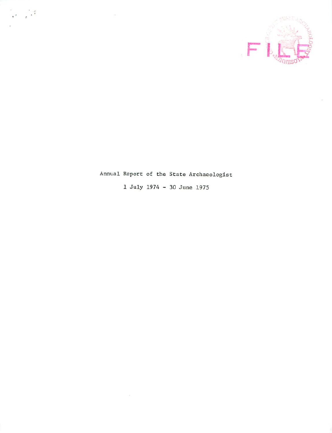

# Annual Report of the State Archaeologist

 $\frac{1}{2}$ 

July 1974 30 June 1975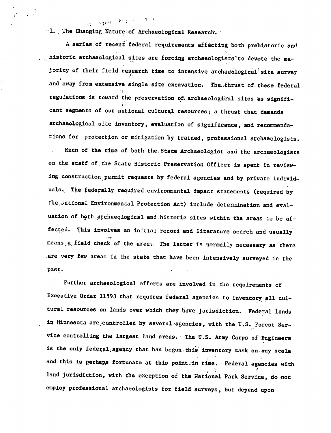1. The Changing Nature.of Archaeological Research.

sa no segunto o BELA (1970-1971) seg

A series of recent federal requirements affecting both prehistoric and historic archaeological sites are forcing archaeologists'to devote the majority of their field research time to intensive archaeological site survey and away from extensive single site excavation. The thrust of these federal regulations is toward the preservation of, archaeological sites as significant segments of our national cultural resources; a thrust that demands archaeological site inventory, evaluation of significance, and recommenda tions for protection or mitigation by trained, professional archaeologists.

Much of the time of both the.State Archaeologist and the archaeologists on the staff of the State Historic Preservation Officer is spent in reviewing construction permit requests by federal agencies and by private individ uals. The federally required environmental impact statements (required by the.National Environmental Protection Act) include determination and eval uation of both archaeological and historic sites within the areas to be affected. This involves an initial record and literature search and usually neans, a field check of the area. The latter is normally necessary as there are very few areas in the state that have been intensively surveyed in the past.

Further archaeological efforts are involved in the requirements of Executive Order; 11593 that requires federal agencies to Inventory all cul tural resources on lands over which they have jurisdiction. Federal lands in Minnesota are controlled by several agencies, with the U.S. Forest Ser vice controlling the largest land areas. The U.S. Army Corps of Engineers is the only federal agency that has begun this inventory task on any scale and this is perhaps fortunate at this point in time. Federal agencies with land jurisdiction, with the exception of the National Park Service, do not employ professional archaeologists for field surveys, but depend upon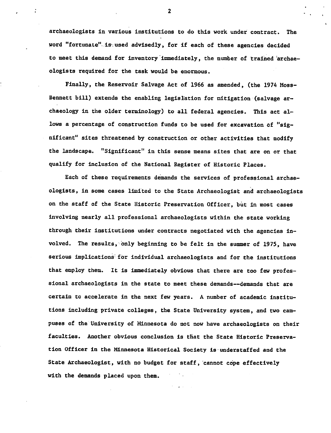archaeologists in various institutions to do this work under contract. The word "fortunate" is used advisedly, for if each of these agencies decided to meet this demand for inventory immediately, the number of trained 'archae ologists required for the task would be enormous.

Finally, the Reservoir Salvage Act of 1966 as amended, (the 1974 Moss-Bennett bill) extends the enabling legislation for mitigation (salvage ar chaeology in the older terminology) to all federal agencies. This act al lows a percentage of construction funds to be used for excavation of "significant" sites threatened by construction or other activities that modify the landscape. "Significant" in this sense means sites that are on or that qualify for inclusion of the National Register of Historic Places.

Each of these requirements demands the services of professional archae ologists, in some cases limited to the State Archaeologist and archaeologists on the staff of the State Historic Preservation Officer, but in most cases involving nearly all professional archaeologists within the state working through their institutions under contracts negotiated with the agencies in volved. The results, only beginning to be felt in the summer of 1975, have serious implications: for individual archaeologists and for the institutions that employ them. It is Immediately obvious that there are too few profes sional archaeologists in the state to meet these demands—demands that are certain to accelerate in the next few years. A number of academic institutions including private colleges, the State University system, and two cam puses of the University of Minnesota do not now have archaeologists on their faculties. Another obvious conclusion is that the State Historic Preserva tion Officer in the Minnesota Historical Society is understaffed and the State Archaeologist, with no budget for staff, cannot cope effectively with the demands placed upon them.

 $\mathbf{2}$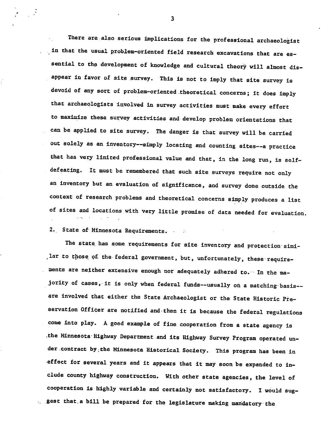There are also serious implications for the professional archaeologist in that the usual problem-oriented field research excavations that are es sential to the development of knowledge and cultural theory will almost disappear in favor of site survey. This is not to Imply that site survey is devoid of any sort of problem-oriented theoretical concerns; it does imply that archaeologists involved in survey activities must make every effort to maximize these survey activities and develop problem orientations that can be applied to site survey. The danger is that survey will be carried out solely as an inventory—simply locating and counting sites—a practice that has very limited professional value and that, in the long run, is selfdefeating. It must be remembered that such site surveys require not only an inventory but an evaluation of significance, and survey done outside the context of research problems and theoretical concerns simply produces a list of sites and locations with very little promise of data needed for evaluation,

2. State of Minnesota Requirements.

The state has some requirements for site inventory and protection similar to those of the federal government, but, unfortunately, these require ments are neither extensive enough nor adequately adhered to. In the majority of cases, it is only when federal funds--usually on a matching basis-are involved that either the State Archaeologist or the State Historic Pre servation Officer are notified and then it is because the federal regulations come into play. A good example of fine cooperation from a state agency is .the Minnesota Highway Department and its Highway Survey Program operated un der contract by;the Minnesota Historical Society. This program has been in effect for several years and it appears that it may soon be expanded to in clude county highway construction. With other state agencies, the level of cooperation is highly variable and certainly not satisfactory. I would suggest that a bill be prepared for the legislature making mandatory the

 $\overline{\mathbf{3}}$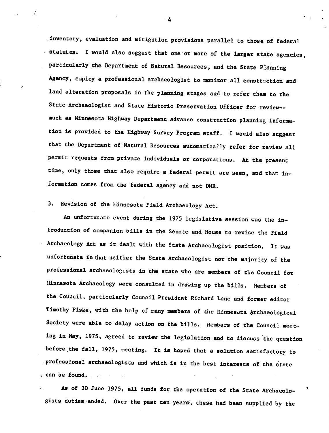inventory, evaluation and mitigation provisions parallel to those of federal statutes. I would also suggest that one or more of the larger state agencies, particularly the Department of Natural Resources, and the State Planning Agency, employ a professional archaeologist to monitor all construction and land alteration proposals in the planning stages and to refer them to the State Archaeologist and State Historic Preservation Officer for reviewmuch as Minnesota Highway Department advance construction planning informa tion is provided to the Highway Survey Program staff. I would also suggest that the Department of Natural Resources automatically refer for review all permit requests from private individuals or corporations. At the present time, only those that also require a federal permit are seen, and that information comes from the federal agency and not DNR.

## 3. Revision of the hinnesota Field Archaeology Act.

An unfortunate event during the 1975 legislative session was the in troduction of companion bills in the Senate and House to revise the Field Archaeology Act as it dealt with the State Archaeologist position. It was unfortunate in that neither the State Archaeologist nor the majority of the professional archaeologists in the state who are members of the Council for Minnesota Archaeology were consulted in drawing up the bills. Members of the Council, particularly Council President Richard Lane and former editor Timothy Fiske, with the help of many members of the Minnesota Archaeological Society were able to delay action on the bills. Members of the Council meet ing in May, 1975, agreed to review the legislation and to discuss the question before the fall, 1975, meeting. It is hoped that a solution satisfactory to professional archaeologists and which is in the best interests of the state can be found.

As of 30 June 1975, all funds for the operation of the State Archaeologists duties ended. Over the past ten years, these had been supplied by the

 $\cdot$  4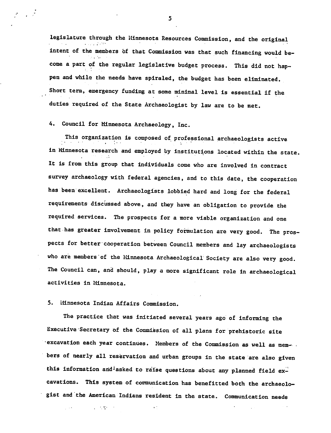legislature through the Minnesota Resources Commission, and the original intent of the members of that Commission was that such financing would be come a part of the regular legislative budget process. This did not hap pen and while the needs have spiraled, the budget has been eliminated. Short term, emergency funding at some minimal level is essential if the duties required of the State Archaeologist by law are to be met.

4. Council for Minnesota Archaeology, Inc.

 $\frac{1}{2}$ 

This organization is composed of professional archaeologists active in Minnesota research and employed by institutions located within the state. It is from this group that individuals come who are involved in contract survey archaeology with federal agencies, and to this date, the cooperation has been excellent. Archaeologists lobbied hard and long for the federal requirements discussed above, and they have an obligation to provide the required services. The prospects for a more viable organization and one that has greater involvement in policy formulation are very good. The pros pects for better cooperation between Council members and lay archaeologists who are members of the Minnesota Archaeological Society are also very good. The Council can, and should, play a more significant role in archaeological activities in Minnesota.

5. Minnesota Indian Affairs Commission.

 $\Delta$  , and  $\Delta$  , and  $\Delta$ 

 $\sim 1.4$ 

The practice that was initiated several years ago of informing the Executive Secretary bf the Commission of all plans for prehistoric site •excavation each year continues. Members of the Commission as well as members of nearly all reservation and urban groups in the state are also given this information and asked to raise questions about any planned field excavations. This system of communication has benefitted both the archaeologist and the American Indians resident in the state. Communication needs

 $\ddot{\phantom{1}}$ 

5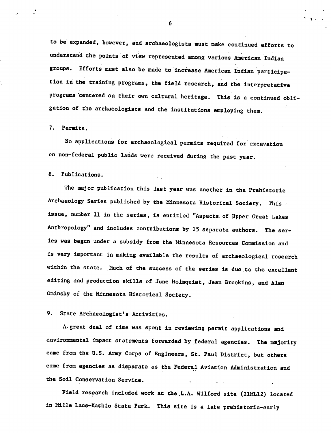to be expanded, however, and archaeologists must make continued efforts to understand the points of view represented among various American Indian groups. Efforts must also be made to increase American Indian participa tion in the training programs, the field research, and the interpretative programs centered on their own cultural heritage. This is continued obli gation of the archaeologists and the institutions employing them.

#### 7. Permits.

No applications for archaeological permits required for excavation on non-federal public lands were received during the past year.

#### 8. Publications.

The major publication this last year was another in the Prehistoric Archaeology Series published by the Minnesota Historical Society. This issue, number 11 in the series, is entitled "Aspects, of Upper Great Lakes Anthropology" and includes contributions by 15 separate authors. The ser ies was begun under a subsidy from the Minnesota Resources Commission and is very important in making available the results of archaeological research within the state. Much of the success of the series is due to the excellent editing and production skills of June Holmquist, Jean Brookins, and Alan Ominsky of the Minnesota Historical Society.

### 9. State Archaeologist's Activities.

A-great deal of time was spent in reviewing permit applications and environmental impact statements forwarded by federal agencies. The majority came from the U.S. Army Corps of Engineers, St. Paul District, but others came from agencies as disparate as the Federal Aviation Administration and the Soil Conservation Service.

Field research included work at the L.A. Wilford site (21ML12) located in Mille Lacs-Kathio State Park. This site is a late prehistoric-early

6